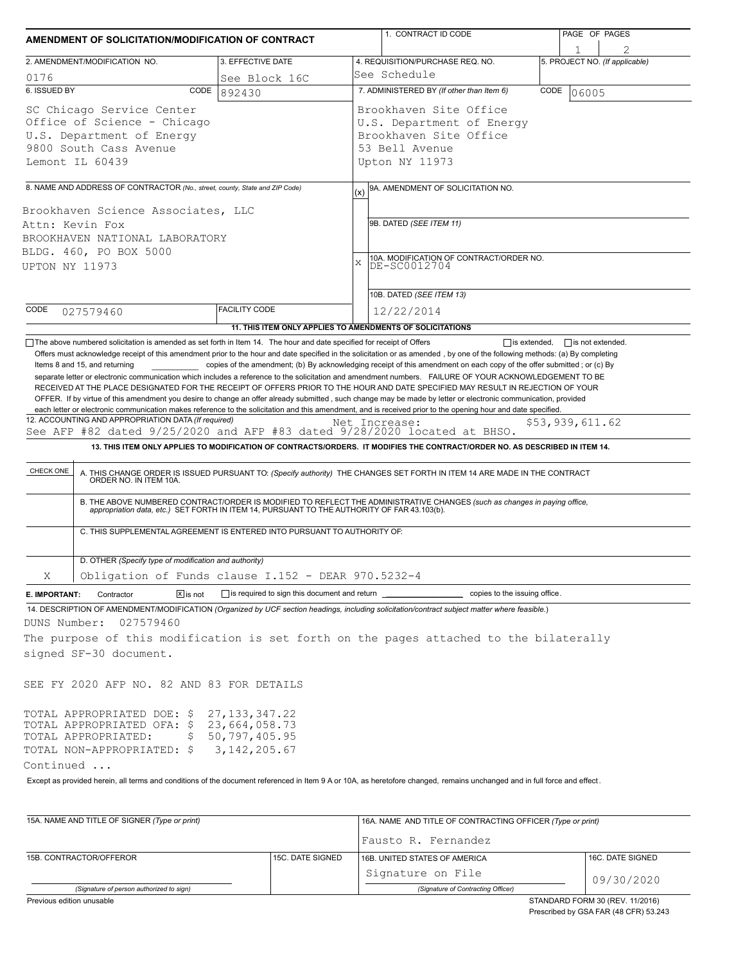|                                           |                                                                                                                                                                                                                                       |                                                                                  |             | 1. CONTRACT ID CODE                                                                                                                                                                                                                                                                                                                                                                                                                                                                                   | PAGE OF PAGES                                  |  |
|-------------------------------------------|---------------------------------------------------------------------------------------------------------------------------------------------------------------------------------------------------------------------------------------|----------------------------------------------------------------------------------|-------------|-------------------------------------------------------------------------------------------------------------------------------------------------------------------------------------------------------------------------------------------------------------------------------------------------------------------------------------------------------------------------------------------------------------------------------------------------------------------------------------------------------|------------------------------------------------|--|
|                                           | AMENDMENT OF SOLICITATION/MODIFICATION OF CONTRACT                                                                                                                                                                                    |                                                                                  |             |                                                                                                                                                                                                                                                                                                                                                                                                                                                                                                       | $\overline{2}$                                 |  |
|                                           | 2. AMENDMENT/MODIFICATION NO.                                                                                                                                                                                                         | 3. EFFECTIVE DATE                                                                |             | 4. REQUISITION/PURCHASE REQ. NO.                                                                                                                                                                                                                                                                                                                                                                                                                                                                      | 5. PROJECT NO. (If applicable)                 |  |
| 0176                                      |                                                                                                                                                                                                                                       | See Block 16C                                                                    |             | See Schedule                                                                                                                                                                                                                                                                                                                                                                                                                                                                                          |                                                |  |
| 6. ISSUED BY                              | CODE                                                                                                                                                                                                                                  | 892430                                                                           |             | 7. ADMINISTERED BY (If other than Item 6)                                                                                                                                                                                                                                                                                                                                                                                                                                                             | CODE<br>06005                                  |  |
|                                           | SC Chicago Service Center                                                                                                                                                                                                             |                                                                                  |             | Brookhaven Site Office                                                                                                                                                                                                                                                                                                                                                                                                                                                                                |                                                |  |
|                                           | Office of Science - Chicago                                                                                                                                                                                                           |                                                                                  |             | U.S. Department of Energy                                                                                                                                                                                                                                                                                                                                                                                                                                                                             |                                                |  |
| U.S. Department of Energy                 |                                                                                                                                                                                                                                       |                                                                                  |             | Brookhaven Site Office<br>53 Bell Avenue                                                                                                                                                                                                                                                                                                                                                                                                                                                              |                                                |  |
| 9800 South Cass Avenue<br>Lemont IL 60439 |                                                                                                                                                                                                                                       |                                                                                  |             | Upton NY 11973                                                                                                                                                                                                                                                                                                                                                                                                                                                                                        |                                                |  |
|                                           |                                                                                                                                                                                                                                       |                                                                                  |             |                                                                                                                                                                                                                                                                                                                                                                                                                                                                                                       |                                                |  |
|                                           | 8. NAME AND ADDRESS OF CONTRACTOR (No., street, county, State and ZIP Code)                                                                                                                                                           |                                                                                  | (x)         | 9A. AMENDMENT OF SOLICITATION NO.                                                                                                                                                                                                                                                                                                                                                                                                                                                                     |                                                |  |
|                                           | Brookhaven Science Associates, LLC                                                                                                                                                                                                    |                                                                                  |             |                                                                                                                                                                                                                                                                                                                                                                                                                                                                                                       |                                                |  |
|                                           | Attn: Kevin Fox                                                                                                                                                                                                                       |                                                                                  |             | 9B. DATED (SEE ITEM 11)                                                                                                                                                                                                                                                                                                                                                                                                                                                                               |                                                |  |
|                                           | BROOKHAVEN NATIONAL LABORATORY                                                                                                                                                                                                        |                                                                                  |             |                                                                                                                                                                                                                                                                                                                                                                                                                                                                                                       |                                                |  |
|                                           | BLDG. 460, PO BOX 5000                                                                                                                                                                                                                |                                                                                  | $\mathbf x$ | 10A. MODIFICATION OF CONTRACT/ORDER NO.                                                                                                                                                                                                                                                                                                                                                                                                                                                               |                                                |  |
| UPTON NY 11973                            |                                                                                                                                                                                                                                       |                                                                                  |             | DE-SC0012704                                                                                                                                                                                                                                                                                                                                                                                                                                                                                          |                                                |  |
|                                           |                                                                                                                                                                                                                                       |                                                                                  |             | 10B. DATED (SEE ITEM 13)                                                                                                                                                                                                                                                                                                                                                                                                                                                                              |                                                |  |
| CODE                                      |                                                                                                                                                                                                                                       | <b>FACILITY CODE</b>                                                             |             | 12/22/2014                                                                                                                                                                                                                                                                                                                                                                                                                                                                                            |                                                |  |
|                                           | 027579460                                                                                                                                                                                                                             |                                                                                  |             |                                                                                                                                                                                                                                                                                                                                                                                                                                                                                                       |                                                |  |
|                                           | The above numbered solicitation is amended as set forth in Item 14. The hour and date specified for receipt of Offers                                                                                                                 | 11. THIS ITEM ONLY APPLIES TO AMENDMENTS OF SOLICITATIONS                        |             |                                                                                                                                                                                                                                                                                                                                                                                                                                                                                                       | $\Box$ is extended,<br>$\Box$ is not extended. |  |
| CHECK ONE                                 | 12. ACCOUNTING AND APPROPRIATION DATA (If required)<br>See AFP #82 dated 9/25/2020 and AFP #83 dated 9/28/2020 located at BHSO.<br>ORDER NO. IN ITEM 10A.<br>C. THIS SUPPLEMENTAL AGREEMENT IS ENTERED INTO PURSUANT TO AUTHORITY OF: |                                                                                  |             | Net Increase:<br>13. THIS ITEM ONLY APPLIES TO MODIFICATION OF CONTRACTS/ORDERS. IT MODIFIES THE CONTRACT/ORDER NO. AS DESCRIBED IN ITEM 14.<br>A. THIS CHANGE ORDER IS ISSUED PURSUANT TO: (Specify authority) THE CHANGES SET FORTH IN ITEM 14 ARE MADE IN THE CONTRACT<br>B. THE ABOVE NUMBERED CONTRACT/ORDER IS MODIFIED TO REFLECT THE ADMINISTRATIVE CHANGES (such as changes in paying office,<br>appropriation data, etc.) SET FORTH IN ITEM 14, PURSUANT TO THE AUTHORITY OF FAR 43.103(b). | \$53,939,611.62                                |  |
|                                           | D. OTHER (Specify type of modification and authority)                                                                                                                                                                                 |                                                                                  |             |                                                                                                                                                                                                                                                                                                                                                                                                                                                                                                       |                                                |  |
| X                                         | Obligation of Funds clause I.152 - DEAR 970.5232-4                                                                                                                                                                                    |                                                                                  |             |                                                                                                                                                                                                                                                                                                                                                                                                                                                                                                       |                                                |  |
| E. IMPORTANT:                             | $\boxed{\mathsf{X}}$ is not<br>Contractor                                                                                                                                                                                             | is required to sign this document and return ___________________________________ |             | copies to the issuing office.                                                                                                                                                                                                                                                                                                                                                                                                                                                                         |                                                |  |
|                                           |                                                                                                                                                                                                                                       |                                                                                  |             | 14. DESCRIPTION OF AMENDMENT/MODIFICATION (Organized by UCF section headings, including solicitation/contract subject matter where feasible.)                                                                                                                                                                                                                                                                                                                                                         |                                                |  |
| DUNS Number:                              | 027579460                                                                                                                                                                                                                             |                                                                                  |             |                                                                                                                                                                                                                                                                                                                                                                                                                                                                                                       |                                                |  |
|                                           |                                                                                                                                                                                                                                       |                                                                                  |             | The purpose of this modification is set forth on the pages attached to the bilaterally                                                                                                                                                                                                                                                                                                                                                                                                                |                                                |  |
|                                           | signed SF-30 document.                                                                                                                                                                                                                |                                                                                  |             |                                                                                                                                                                                                                                                                                                                                                                                                                                                                                                       |                                                |  |
|                                           | SEE FY 2020 AFP NO. 82 AND 83 FOR DETAILS                                                                                                                                                                                             |                                                                                  |             |                                                                                                                                                                                                                                                                                                                                                                                                                                                                                                       |                                                |  |
|                                           | TOTAL APPROPRIATED DOE: \$<br>TOTAL APPROPRIATED OFA: \$23,664,058.73<br>TOTAL APPROPRIATED:<br>Ş<br>TOTAL NON-APPROPRIATED: \$                                                                                                       | 27, 133, 347. 22<br>50,797,405.95<br>3,142,205.67                                |             |                                                                                                                                                                                                                                                                                                                                                                                                                                                                                                       |                                                |  |
| Continued                                 |                                                                                                                                                                                                                                       |                                                                                  |             |                                                                                                                                                                                                                                                                                                                                                                                                                                                                                                       |                                                |  |
|                                           |                                                                                                                                                                                                                                       |                                                                                  |             | Except as provided herein, all terms and conditions of the document referenced in Item 9 A or 10A, as heretofore changed, remains unchanged and in full force and effect.                                                                                                                                                                                                                                                                                                                             |                                                |  |

| 15A. NAME AND TITLE OF SIGNER (Type or print)                                                                                                           |                  | 16A. NAME AND TITLE OF CONTRACTING OFFICER (Type or print) |                  |  |  |
|---------------------------------------------------------------------------------------------------------------------------------------------------------|------------------|------------------------------------------------------------|------------------|--|--|
|                                                                                                                                                         |                  | Fausto R. Fernandez                                        |                  |  |  |
| 15B. CONTRACTOR/OFFEROR                                                                                                                                 | 15C. DATE SIGNED | 16B. UNITED STATES OF AMERICA                              | 16C. DATE SIGNED |  |  |
|                                                                                                                                                         |                  | Signature on File                                          | 09/30/2020       |  |  |
| (Signature of person authorized to sign)                                                                                                                |                  | (Signature of Contracting Officer)                         |                  |  |  |
| $Q$ TANIDADD FODM 20. (DEV. 44.0040)<br>the contract of the contract of the contract of the contract of the contract of the contract of the contract of |                  |                                                            |                  |  |  |

Previous edition unusable